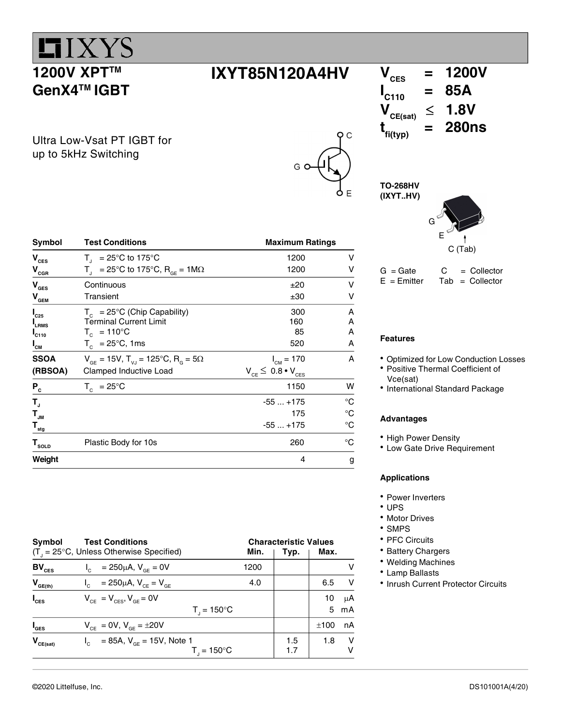## $LIXYZ$ **1200V XPT™** GenX4<sup>™</sup> IGBT

 $V_{\text{CES}}$ 

 $I_{C25}$ 

 $I_{C110}$ 

 $I_{\text{CM}}$ 

 $\mathbf{P}_{\rm c}$ 

 $T_{\rm{J}}$ 

SSOA

 $-55...+175$  °C

Ultra Low-Vsat PT IGBT for up to 5kHz Switching

| Symbol                                                            | <b>Test Conditions</b>                                                             | <b>Maximum Ratings</b>          |   |
|-------------------------------------------------------------------|------------------------------------------------------------------------------------|---------------------------------|---|
| $V_{\text{CES}}$                                                  | $T_{1}$ = 25°C to 175°C                                                            | 1200                            | v |
| $\mathsf{V}_{\mathsf{c}\scriptscriptstyle{\mathsf{G}\mathsf{R}}}$ | $T_{\text{d}}$ = 25°C to 175°C, R <sub>GF</sub> = 1M $\Omega$                      | 1200                            | v |
| V <sub>GES</sub>                                                  | Continuous                                                                         | ±20                             | v |
| $\mathsf{V}_{_{\mathsf{GEM}}}$                                    | Transient                                                                          | ±30                             | v |
| $\mathsf{I}_{\text{c25}}$                                         | $T_c$ = 25°C (Chip Capability)                                                     | 300                             | A |
| I <sub>LRMS</sub>                                                 | <b>Terminal Current Limit</b>                                                      | 160                             | A |
| $\mathsf{I}_\mathsf{c110}$                                        | $T_c = 110^{\circ}C$                                                               | 85                              | A |
| $\mathsf{I}_{\mathsf{cm}}$                                        | $T_c$ = 25°C, 1ms                                                                  | 520                             | A |
| SSOA                                                              | $V_{\text{ge}} = 15V$ , $T_{\text{V,I}} = 125^{\circ}C$ , $R_{\text{e}} = 5\Omega$ | $I_{CM} = 170$                  | A |
| (RBSOA)                                                           | Clamped Inductive Load                                                             | $V_{CE} \leq 0.8 \cdot V_{CES}$ |   |
| $P_{c}$                                                           | $T_c = 25^{\circ}$ C                                                               | 1150                            | w |

 $\overline{IXYT}85N120A4HV$   $V_{\text{CES}} = 1200V$ <br> $V_{\text{CES}} = 85A$  $I_{C110}$  = 85A<br> $V_{\text{osc}}$   $\leq$  1.8V  $V_{CE(sat)} \leq$  $t_{fi(typ)}$  $= 280$ ns

> TO-268HV (IXYT..HV)

 $\overline{\mathsf{o}}$   $\overline{\mathsf{c}}$ 



 $G = Gate$   $C = Collector$ <br> $E = Emitter$  Tab = Collector  $Tab = Collector$ 

### Features

- Optimized for Low Conduction Losses
- Positive Thermal Coefficient of Vce(sat)
- International Standard Package

#### Advantages

- High Power Density
- Low Gate Drive Requirement

#### Applications

- Power Inverters
- UPS
- Motor Drives
- SMPS
- PFC Circuits
- Battery Chargers
- Welding Machines
- Lamp Ballasts
- Inrush Current Protector Circuits

| <b>Symbol</b>                        | <b>Test Conditions</b>                                      |      | <b>Characteristic Values</b> |      |    |
|--------------------------------------|-------------------------------------------------------------|------|------------------------------|------|----|
|                                      | $(T_{\text{I}} = 25^{\circ}C$ , Unless Otherwise Specified) | Min. | Typ.                         | Max. |    |
| $BV_{CES}$                           | $I_c = 250 \mu A$ , $V_{GE} = 0V$                           | 1200 |                              |      |    |
| $V_{GE(th)}$                         | = 250µA, $V_{CF} = V_{GF}$                                  | 4.0  |                              | 6.5  | v  |
| $I_{\text{CES}}$                     | $V_{CF} = V_{CFS}$ , $V_{GF} = 0V$                          |      |                              | 10   | μA |
|                                      | $T_{1} = 150^{\circ}C$                                      |      |                              | 5    | mA |
| $I_{\texttt{GES}}$                   | $V_{CF} = 0V$ , $V_{GF} = \pm 20V$                          |      |                              | ±100 | nA |
| $\mathbf{V}_{\text{CE}(\text{sat})}$ | $I_c = 85A$ , $V_{cF} = 15V$ , Note 1                       |      | 1.5                          | 1.8  | v  |
|                                      | $T_{1} = 150^{\circ}C$                                      |      | 1.7                          |      | v  |

 $T_{\text{JM}}$  175  $\text{°C}$  $T_{\text{stg}}$   $-55...+175$   $^{\circ}C$  $T_{\text{solD}}$  Plastic Body for 10s 260 °C **Weight** 4 g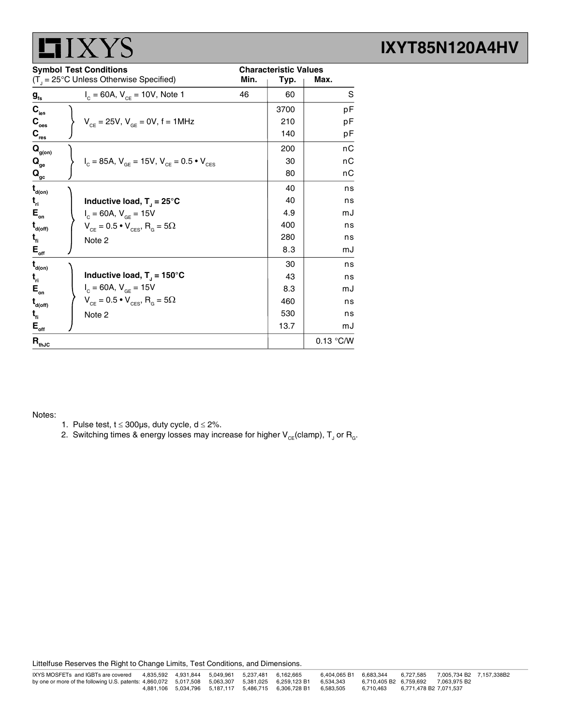|                                                | <b>LI</b> I X YS                                                  |      |                              |             |
|------------------------------------------------|-------------------------------------------------------------------|------|------------------------------|-------------|
|                                                | <b>Symbol Test Conditions</b>                                     |      | <b>Characteristic Values</b> |             |
|                                                | $(T_{\text{d}} = 25^{\circ} \text{C}$ Unless Otherwise Specified) | Min. | Typ.                         | Max.        |
| $g_{\rm fs}$                                   | $I_c = 60A$ , $V_{CF} = 10V$ , Note 1                             | 46   | 60                           | S           |
| $\mathbf{C}_{\text{ies}}$                      |                                                                   |      | 3700                         | pF          |
| $\mathbf{C}_{\text{oes}}$                      | $V_{CF} = 25V$ , $V_{GF} = 0V$ , f = 1MHz                         |      | 210                          | рF          |
| $\mathbf{C}_{\mathsf{res}}$                    |                                                                   |      | 140                          | рF          |
| $\mathbf{Q}_{\text{g(on)}}$                    |                                                                   |      | 200                          | nС          |
| $\mathbf{Q}_{_{\mathbf{ge}}}$                  | $I_c = 85A$ , $V_{GE} = 15V$ , $V_{CE} = 0.5 \cdot V_{CES}$       |      | 30                           | nС          |
| $\mathbf{Q}_{\underline{\mathrm{gc}}}$         |                                                                   |      | 80                           | nС          |
| $\mathbf{t}_{_{\mathsf{d}( \mathsf{on})}}$     |                                                                   |      | 40                           | ns          |
| $t_{\rm ri}$                                   | Inductive load, $T_{\parallel}$ = 25°C                            |      | 40                           | ns          |
| $\mathsf{E}_{\scriptscriptstyle{\mathsf{on}}}$ | $I_c = 60A, V_{GE} = 15V$                                         |      | 4.9                          | mJ          |
| $t_{\text{\tiny{d(off)}}}$                     | $V_{CE} = 0.5 \cdot V_{CES}$ , $R_{G} = 5\Omega$                  |      | 400                          | ns          |
| $t_{\rm fl}$                                   | Note 2                                                            |      | 280                          | ns          |
| $\mathbf{E}_{\underline{\mathrm{off}}}$        |                                                                   |      | 8.3                          | mJ          |
| $\mathbf{t}_{\text{\tiny{d(0n)}}}$             |                                                                   |      | 30                           | ns          |
| $t_{\rm n}$                                    | Inductive load, $T_{J} = 150^{\circ}C$                            |      | 43                           | ns          |
| $\mathsf{E}_{_{\sf on}}$                       | $I_c = 60A, V_{GE} = 15V$                                         |      | 8.3                          | mJ          |
| $t_{\text{d(off)}}$                            | $V_{CE} = 0.5 \cdot V_{CES}$ , $R_{G} = 5\Omega$                  |      | 460                          | ns          |
| $t_{fi}$                                       | Note 2                                                            |      | 530                          | ns          |
| $\mathbf{E}_{_{\mathrm{off}}}$                 |                                                                   |      | 13.7                         | mJ          |
| $\mathbf{R}_{\text{thJC}}$                     |                                                                   |      |                              | $0.13$ °C/W |

#### Notes:

- 1. Pulse test,  $t \le 300 \mu s$ , duty cycle,  $d \le 2\%$ .
- 2. Switching times & energy losses may increase for higher  $\mathsf{V}_{\mathsf{CE}}$ (clamp),  $\mathsf{T}_{\mathsf{J}}$  or  $\mathsf{R}_{\mathsf{G}}$ .

Littelfuse Reserves the Right to Change Limits, Test Conditions, and Dimensions.

### IXYT85N120A4HV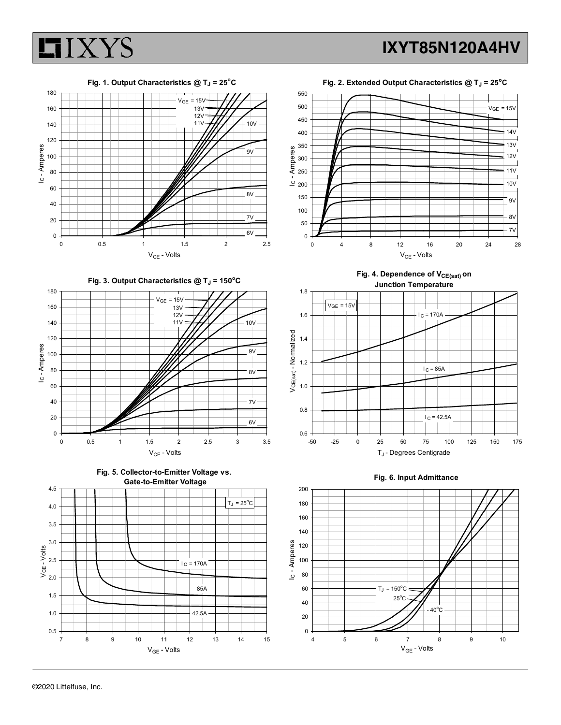



Fig. 2. Extended Output Characteristics  $@$  T<sub>J</sub> = 25°C



Fig. 4. Dependence of  $V_{CE(sat)}$  on Junction Temperature







0.5 1.0 1.5

V<sub>GE</sub> - Volts

42.5A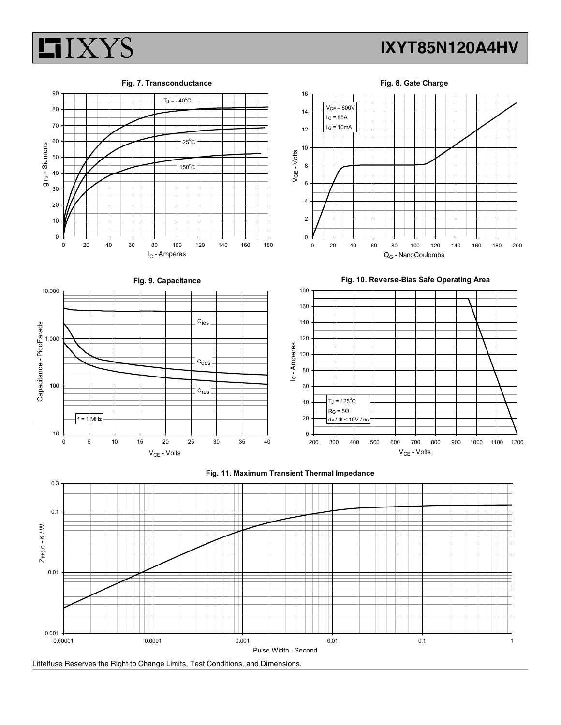

### IXYT85N120A4HV



Fig. 8. Gate Charge



Littelfuse Reserves the Right to Change Limits, Test Conditions, and Dimensions.

0.001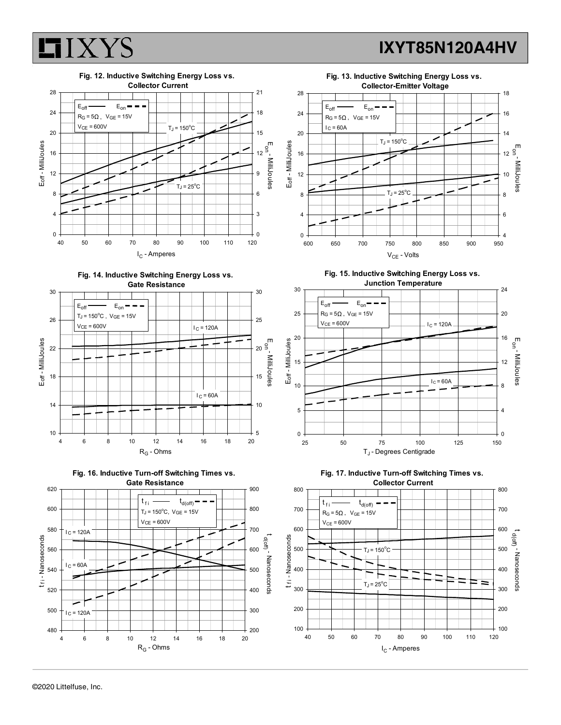### Fig. 12. Inductive Switching Energy Loss vs. Collector Current<br>
and the collection of the collection of 21<br>
and the collection of the collection of 21<br>
and the collection of the collection of 21<br>
and the collection of the collection of 21<br>
and the collection of the c 0 4 8 <del>レイーレイーレビー・・・・・・</del>  $12 + 7 + 7 + 1 + 12$ 16 <del>| | | | | | | | | | | | | | | | | |</del> 20  $24$  R<sub>G</sub> = 50, V<sub>GE</sub> = 15V T + 18 24 F 28 <del>| | | | | | | | | | | | | | | |</del> IC - Amperes Eoff - MilliJoules  $E_{\text{off}}$   $\longrightarrow$   $E_{\text{on}}$   $\longrightarrow$   $\longrightarrow$   $\parallel$   $\parallel$   $\parallel$   $\parallel$ VCE = 600V TJ = 150oC











Fig. 15. Inductive Switching Energy Loss vs.







IXYT85N120A4HV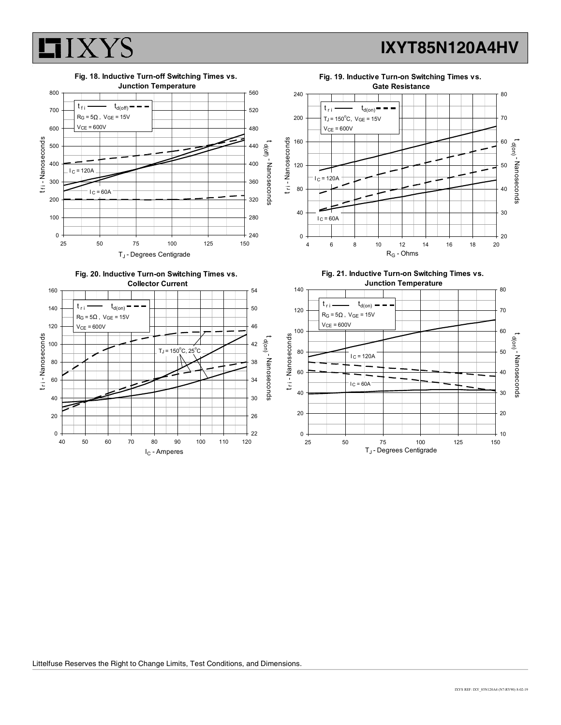





Littelfuse Reserves the Right to Change Limits, Test Conditions, and Dimensions.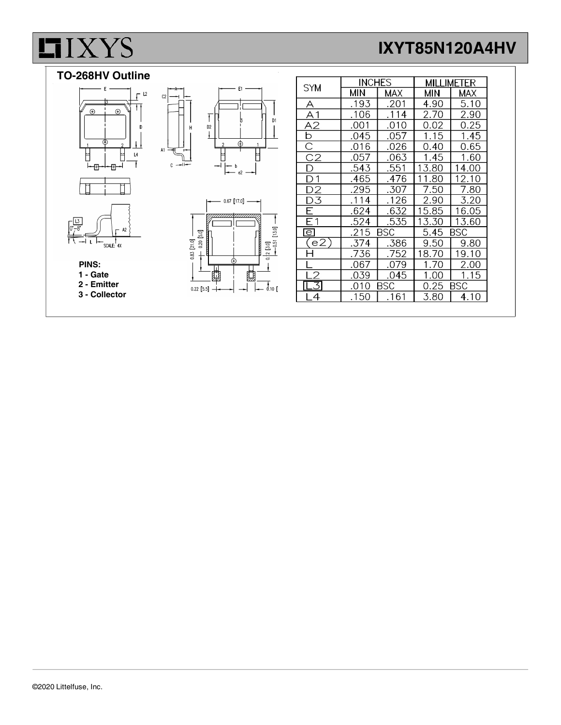# **LIXYS**

## IXYT85N120A4HV



 2 - Emitter 3 - Collector

| $0.20$ $5.0$<br>$0.83$ $[21.0]$ |  | 7 |
|---------------------------------|--|---|
| $0.22$ [5.5]                    |  |   |

|                                     | <b>INCHES</b> |      | MILLIMETER         |       |  |
|-------------------------------------|---------------|------|--------------------|-------|--|
| <b>SYM</b>                          | МIИ           | MAX  | МIИ                | MAX   |  |
| А                                   | .193          | .201 | 4.90               | 5.10  |  |
| $\overline{A1}$                     | .106          | .114 | 2.70               | 2.90  |  |
| A2                                  | .001          | .010 | 0.02               | 0.25  |  |
| $\frac{\overline{b}}{\overline{C}}$ | .045          | .057 | 1.15               | 1.45  |  |
|                                     | .016          | .026 | 0.40               | 0.65  |  |
| $\overline{C}2$                     | .057          | .063 | 1.45               | 1.60  |  |
| D                                   | .543          | .551 | 13.80              | 14.00 |  |
| 1                                   | .465          | .476 | 11.80              | 12.10 |  |
| D2                                  | .295          | .307 | 7.50               | 7.80  |  |
| D3                                  | .114          | .126 | 2.90               | 3.20  |  |
| F                                   | .624          | .632 | 15.85              | 16.05 |  |
| Ε1                                  | .524          | .535 | 13.30              | 13.60 |  |
| $\overline{e}$                      | BSC<br>.215   |      | BSC<br>5.45        |       |  |
| (e2)                                | .374          | .386 | 9.50               | 9.80  |  |
|                                     | .736          | .752 | 18.70              | 19.10 |  |
|                                     | .067          | .079 | 1.70               | 2.00  |  |
|                                     | .039          | .045 | 1.00               | 1.15  |  |
| $\overline{3}$                      | .010          | BSC  | <b>BSC</b><br>0.25 |       |  |
| 4                                   | .150          | .161 | 3.80               | 4.10  |  |